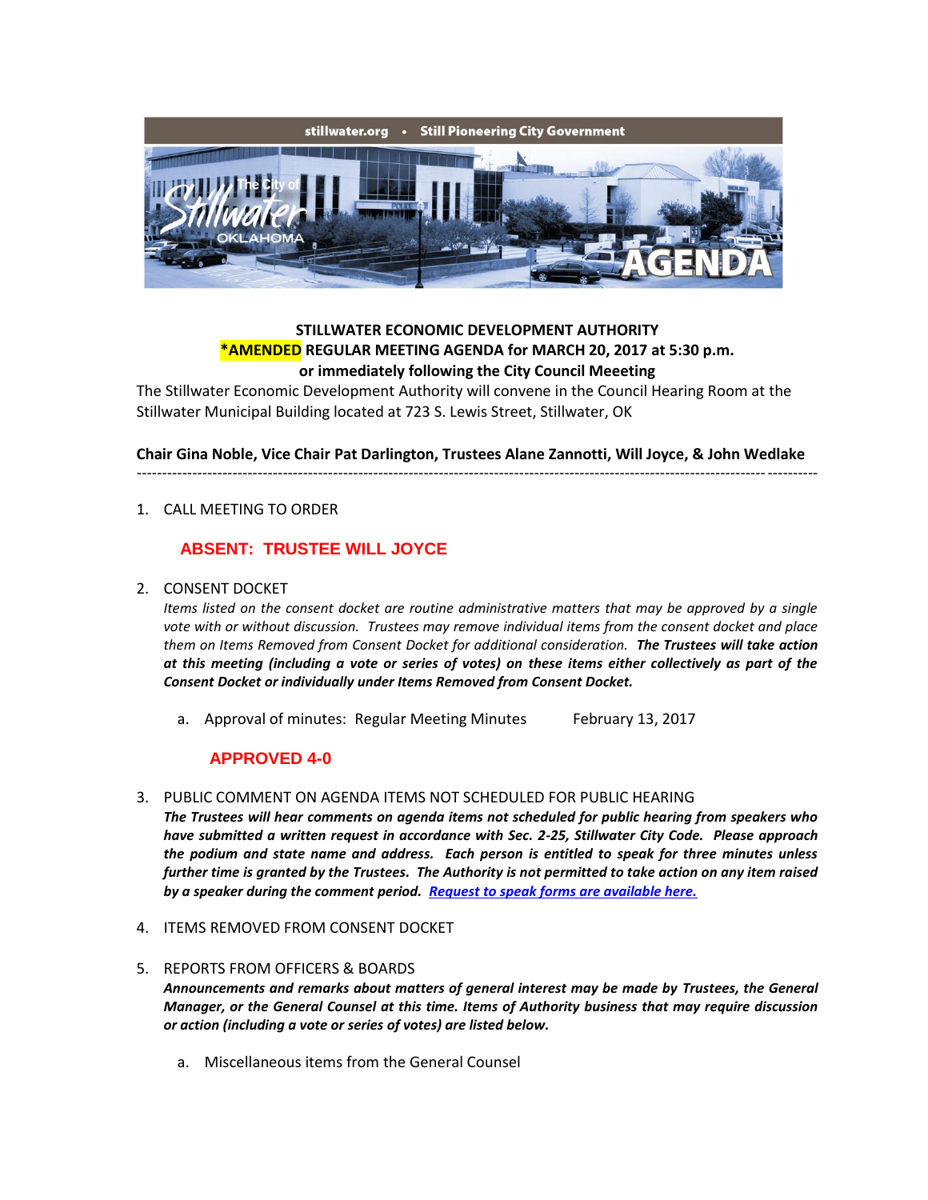

# **STILLWATER ECONOMIC DEVELOPMENT AUTHORITY \*AMENDED REGULAR MEETING AGENDA for MARCH 20, 2017 at 5:30 p.m. or immediately following the City Council Meeeting**

The Stillwater Economic Development Authority will convene in the Council Hearing Room at the Stillwater Municipal Building located at 723 S. Lewis Street, Stillwater, OK

**Chair Gina Noble, Vice Chair Pat Darlington, Trustees Alane Zannotti, Will Joyce, & John Wedlake** ---------------------------------------------------------------------------------------------------------------------------------------

1. CALL MEETING TO ORDER

### **ABSENT: TRUSTEE WILL JOYCE**

#### 2. CONSENT DOCKET

*Items listed on the consent docket are routine administrative matters that may be approved by a single vote with or without discussion. Trustees may remove individual items from the consent docket and place them on Items Removed from Consent Docket for additional consideration. The Trustees will take action at this meeting (including a vote or series of votes) on these items either collectively as part of the Consent Docket or individually under Items Removed from Consent Docket.*

a. Approval of minutes: Regular Meeting Minutes February 13, 2017

#### **APPROVED 4-0**

3. PUBLIC COMMENT ON AGENDA ITEMS NOT SCHEDULED FOR PUBLIC HEARING

*The Trustees will hear comments on agenda items not scheduled for public hearing from speakers who have submitted a written request in accordance with Sec. 2-25, Stillwater City Code. Please approach the podium and state name and address. Each person is entitled to speak for three minutes unless further time is granted by the Trustees. The Authority is not permitted to take action on any item raised by a speaker during the comment period. [Request to speak forms are available here.](http://stillwater.org/document/request_to_speak_at_city_council.php)*

- 4. ITEMS REMOVED FROM CONSENT DOCKET
- 5. REPORTS FROM OFFICERS & BOARDS *Announcements and remarks about matters of general interest may be made by Trustees, the General Manager, or the General Counsel at this time. Items of Authority business that may require discussion or action (including a vote or series of votes) are listed below.*
	- a. Miscellaneous items from the General Counsel